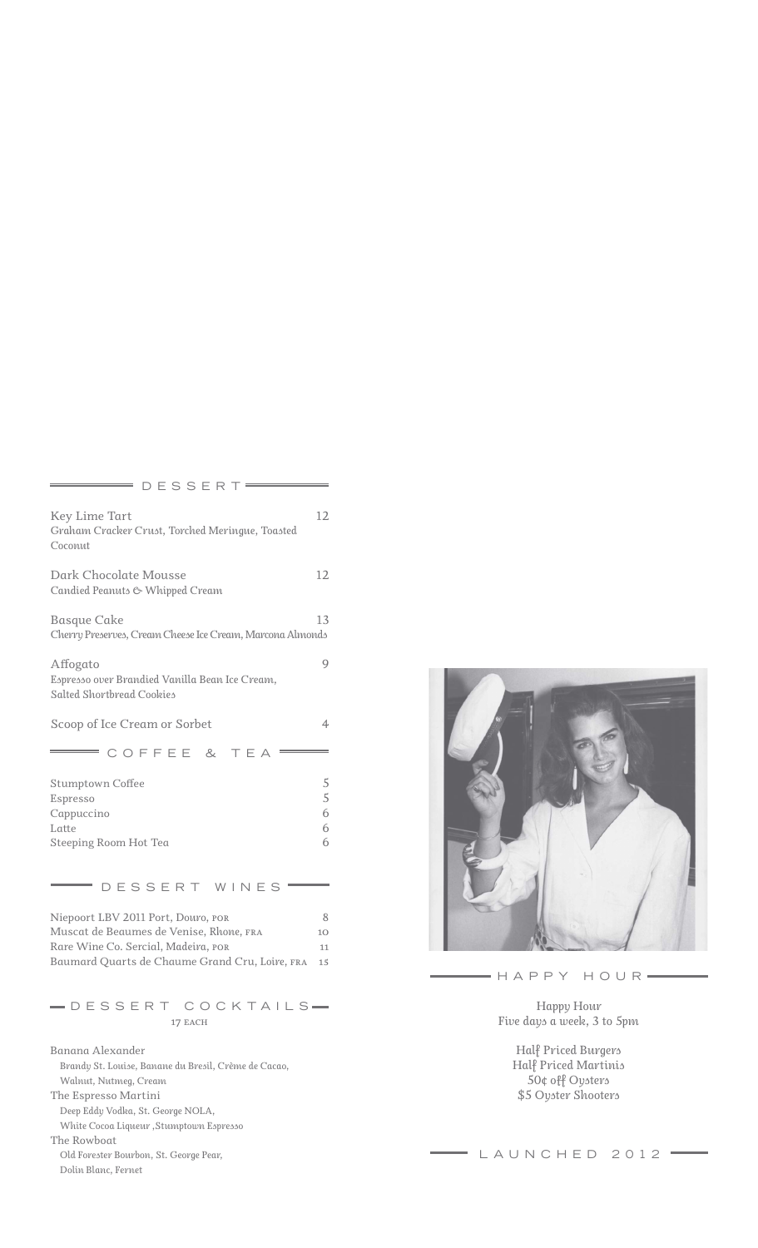| DESSERT                                                                                                                                                                |                                    |
|------------------------------------------------------------------------------------------------------------------------------------------------------------------------|------------------------------------|
| Key Lime Tart<br>Graham Cracker Crust, Torched Meringue, Toasted<br>Coconut                                                                                            | 12                                 |
| Dark Chocolate Mousse<br>Candied Peanuts & Whipped Cream                                                                                                               | 12                                 |
| <b>Basque Cake</b><br>Cherry Preserves, Cream Cheese Ice Cream, Marcona Almonds                                                                                        | 13                                 |
| Affogato<br>Espresso over Brandied Vanilla Bean Ice Cream,<br>Salted Shortbread Cookies                                                                                | 9                                  |
| Scoop of Ice Cream or Sorbet                                                                                                                                           | 4                                  |
| COFFEE &<br>TEA                                                                                                                                                        |                                    |
| <b>Stumptown Coffee</b><br>Espresso<br>Cappuccino<br>Latte<br>Steeping Room Hot Tea                                                                                    | 5<br>$\overline{5}$<br>6<br>6<br>6 |
| DESSERT WINES                                                                                                                                                          |                                    |
| Niepoort LBV 2011 Port, Douro, POR<br>Muscat de Beaumes de Venise, Rhone, FRA<br>Rare Wine Co. Sercial, Madeira, POR<br>Baumard Quarts de Chaume Grand Cru, Loire, FRA | 8<br>10<br>11<br>15                |
| -DESSERT COCKTAILS-<br>17 EACH                                                                                                                                         |                                    |
| Banana Alexander<br>Brandy St. Louise, Banane du Bresil, Crème de Cacao,<br>Walnut, Nutmeg, Cream                                                                      |                                    |

*The Espresso Martini Deep Eddy Vodka, St. George NOLA, White Cocoa Liqueur ,Stumptown Espresso The Rowboat Old Forester Bourbon, St. George Pear, Dolin Blanc, Fernet*



 $= H$  A P P Y  $H$  O U R  $=$ 

*Happy Hour Five days a week, 3 to 5pm*

> *Half Priced Burgers Half Priced Martinis 50¢ off Oysters \$5 Oyster Shooters*

## $\begin{array}{c} \hline \end{array}$  LAUNCHED 2012 =